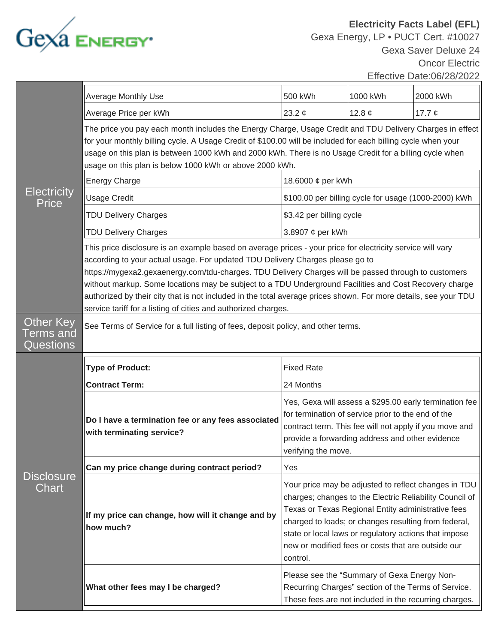

**Electricity Facts Label (EFL)** Gexa Energy, LP • PUCT Cert. #10027 Gexa Saver Deluxe 24 Oncor Electric Effective Date:06/28/2022

| <b>Electricity</b><br><b>Price</b>                     | <b>Average Monthly Use</b>                                                                                                                                                                                                                                                                                                                                                                                                                                                                                                                                                                         | 500 kWh                                                                                                                                                                                                                                                                                                                                                  | 1000 kWh                                                                                                                                                    | 2000 kWh    |  |
|--------------------------------------------------------|----------------------------------------------------------------------------------------------------------------------------------------------------------------------------------------------------------------------------------------------------------------------------------------------------------------------------------------------------------------------------------------------------------------------------------------------------------------------------------------------------------------------------------------------------------------------------------------------------|----------------------------------------------------------------------------------------------------------------------------------------------------------------------------------------------------------------------------------------------------------------------------------------------------------------------------------------------------------|-------------------------------------------------------------------------------------------------------------------------------------------------------------|-------------|--|
|                                                        | Average Price per kWh                                                                                                                                                                                                                                                                                                                                                                                                                                                                                                                                                                              | 23.2 $\phi$                                                                                                                                                                                                                                                                                                                                              | 12.8 $\phi$                                                                                                                                                 | 17.7 $\phi$ |  |
|                                                        | The price you pay each month includes the Energy Charge, Usage Credit and TDU Delivery Charges in effect<br>for your monthly billing cycle. A Usage Credit of \$100.00 will be included for each billing cycle when your<br>usage on this plan is between 1000 kWh and 2000 kWh. There is no Usage Credit for a billing cycle when<br>usage on this plan is below 1000 kWh or above 2000 kWh.                                                                                                                                                                                                      |                                                                                                                                                                                                                                                                                                                                                          |                                                                                                                                                             |             |  |
|                                                        | <b>Energy Charge</b>                                                                                                                                                                                                                                                                                                                                                                                                                                                                                                                                                                               | 18.6000 ¢ per kWh                                                                                                                                                                                                                                                                                                                                        |                                                                                                                                                             |             |  |
|                                                        | <b>Usage Credit</b>                                                                                                                                                                                                                                                                                                                                                                                                                                                                                                                                                                                | \$100.00 per billing cycle for usage (1000-2000) kWh                                                                                                                                                                                                                                                                                                     |                                                                                                                                                             |             |  |
|                                                        | <b>TDU Delivery Charges</b>                                                                                                                                                                                                                                                                                                                                                                                                                                                                                                                                                                        | \$3.42 per billing cycle                                                                                                                                                                                                                                                                                                                                 |                                                                                                                                                             |             |  |
|                                                        | <b>TDU Delivery Charges</b>                                                                                                                                                                                                                                                                                                                                                                                                                                                                                                                                                                        | 3.8907 ¢ per kWh                                                                                                                                                                                                                                                                                                                                         |                                                                                                                                                             |             |  |
|                                                        | This price disclosure is an example based on average prices - your price for electricity service will vary<br>according to your actual usage. For updated TDU Delivery Charges please go to<br>https://mygexa2.gexaenergy.com/tdu-charges. TDU Delivery Charges will be passed through to customers<br>without markup. Some locations may be subject to a TDU Underground Facilities and Cost Recovery charge<br>authorized by their city that is not included in the total average prices shown. For more details, see your TDU<br>service tariff for a listing of cities and authorized charges. |                                                                                                                                                                                                                                                                                                                                                          |                                                                                                                                                             |             |  |
| <b>Other Key</b><br><sup>r</sup> erms and<br>Questions | See Terms of Service for a full listing of fees, deposit policy, and other terms.                                                                                                                                                                                                                                                                                                                                                                                                                                                                                                                  |                                                                                                                                                                                                                                                                                                                                                          |                                                                                                                                                             |             |  |
|                                                        | <b>Type of Product:</b>                                                                                                                                                                                                                                                                                                                                                                                                                                                                                                                                                                            | <b>Fixed Rate</b>                                                                                                                                                                                                                                                                                                                                        |                                                                                                                                                             |             |  |
|                                                        | <b>Contract Term:</b>                                                                                                                                                                                                                                                                                                                                                                                                                                                                                                                                                                              | 24 Months                                                                                                                                                                                                                                                                                                                                                |                                                                                                                                                             |             |  |
|                                                        | Do I have a termination fee or any fees associated<br>with terminating service?                                                                                                                                                                                                                                                                                                                                                                                                                                                                                                                    | Yes, Gexa will assess a \$295.00 early termination fee<br>for termination of service prior to the end of the<br>contract term. This fee will not apply if you move and<br>provide a forwarding address and other evidence<br>verifying the move.                                                                                                         |                                                                                                                                                             |             |  |
|                                                        | Can my price change during contract period?                                                                                                                                                                                                                                                                                                                                                                                                                                                                                                                                                        | Yes                                                                                                                                                                                                                                                                                                                                                      |                                                                                                                                                             |             |  |
| <b>Disclosure</b><br>Chart                             | If my price can change, how will it change and by<br>how much?                                                                                                                                                                                                                                                                                                                                                                                                                                                                                                                                     | Your price may be adjusted to reflect changes in TDU<br>charges; changes to the Electric Reliability Council of<br>Texas or Texas Regional Entity administrative fees<br>charged to loads; or changes resulting from federal,<br>state or local laws or regulatory actions that impose<br>new or modified fees or costs that are outside our<br>control. |                                                                                                                                                             |             |  |
|                                                        | What other fees may I be charged?                                                                                                                                                                                                                                                                                                                                                                                                                                                                                                                                                                  |                                                                                                                                                                                                                                                                                                                                                          | Please see the "Summary of Gexa Energy Non-<br>Recurring Charges" section of the Terms of Service.<br>These fees are not included in the recurring charges. |             |  |